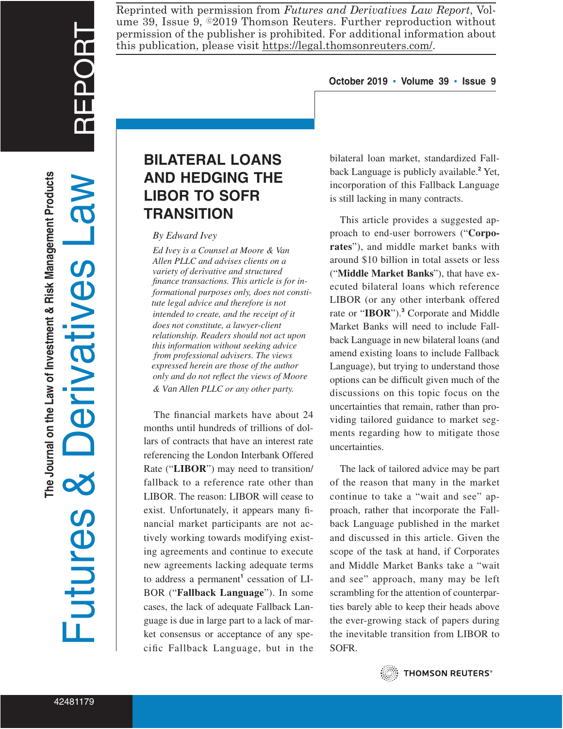REPORT

Reprinted with permission from *Futures and Derivatives Law Report*, Volume 39, Issue 9,  $\circ$ 2019 Thomson Reuters. Further reproduction without permission of the publisher is prohibited. For additional information about this publication, please visit https://legal.thomsonreuters.com/.

### **October 2019 ▪ Volume 39 ▪ Issue 9**

# **BILATERAL LOANS AND HEDGING THE LIBOR TO SOFR TRANSITION**

### *By Edward Ivey*

*finance transactions. This article is for informational purposes only, does not constitute legal advice and therefore is not intended to create, and the receipt of it does not constitute, a lawyer-client relationship. Readers should not act upon this information without seeking advice from professional advisers. The views expressed herein are those of the author only and do not reflect the views of Moore & Van Allen PLLC or any other party. Ed Ivey is a Counsel at Moore & Van Allen PLLC and advises clients on a variety of derivative and structured*

The financial markets have about 24 months until hundreds of trillions of dollars of contracts that have an interest rate referencing the London Interbank Offered Rate ("**LIBOR**") may need to transition/ fallback to a reference rate other than LIBOR. The reason: LIBOR will cease to exist. Unfortunately, it appears many financial market participants are not actively working towards modifying existing agreements and continue to execute new agreements lacking adequate terms to address a permanent**<sup>1</sup>** cessation of LI-BOR ("**Fallback Language**"). In some cases, the lack of adequate Fallback Language is due in large part to a lack of market consensus or acceptance of any specific Fallback Language, but in the

bilateral loan market, standardized Fallback Language is publicly available.**<sup>2</sup>** Yet, incorporation of this Fallback Language is still lacking in many contracts.

This article provides a suggested approach to end-user borrowers ("**Corporates**"), and middle market banks with around \$10 billion in total assets or less ("**Middle Market Banks**"), that have executed bilateral loans which reference LIBOR (or any other interbank offered rate or "**IBOR**").**<sup>3</sup>** Corporate and Middle Market Banks will need to include Fallback Language in new bilateral loans (and amend existing loans to include Fallback Language), but trying to understand those options can be difficult given much of the discussions on this topic focus on the uncertainties that remain, rather than providing tailored guidance to market segments regarding how to mitigate those uncertainties.

The lack of tailored advice may be part of the reason that many in the market continue to take a "wait and see" approach, rather that incorporate the Fallback Language published in the market and discussed in this article. Given the scope of the task at hand, if Corporates and Middle Market Banks take a "wait and see" approach, many may be left scrambling for the attention of counterparties barely able to keep their heads above the ever-growing stack of papers during the inevitable transition from LIBOR to SOFR.



**THOMSON REUTERS®**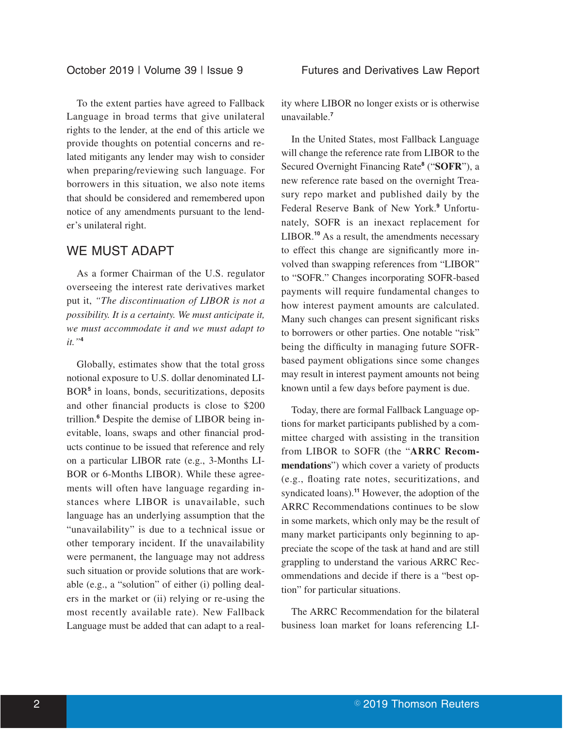To the extent parties have agreed to Fallback Language in broad terms that give unilateral rights to the lender, at the end of this article we provide thoughts on potential concerns and related mitigants any lender may wish to consider when preparing/reviewing such language. For borrowers in this situation, we also note items that should be considered and remembered upon notice of any amendments pursuant to the lender's unilateral right.

# WE MUST ADAPT

As a former Chairman of the U.S. regulator overseeing the interest rate derivatives market put it, *"The discontinuation of LIBOR is not a possibility. It is a certainty. We must anticipate it, we must accommodate it and we must adapt to it."***<sup>4</sup>**

Globally, estimates show that the total gross notional exposure to U.S. dollar denominated LI-BOR**<sup>5</sup>** in loans, bonds, securitizations, deposits and other financial products is close to \$200 trillion.**<sup>6</sup>** Despite the demise of LIBOR being inevitable, loans, swaps and other financial products continue to be issued that reference and rely on a particular LIBOR rate (e.g., 3-Months LI-BOR or 6-Months LIBOR). While these agreements will often have language regarding instances where LIBOR is unavailable, such language has an underlying assumption that the "unavailability" is due to a technical issue or other temporary incident. If the unavailability were permanent, the language may not address such situation or provide solutions that are workable (e.g., a "solution" of either (i) polling dealers in the market or (ii) relying or re-using the most recently available rate). New Fallback Language must be added that can adapt to a reality where LIBOR no longer exists or is otherwise unavailable.**<sup>7</sup>**

In the United States, most Fallback Language will change the reference rate from LIBOR to the Secured Overnight Financing Rate**<sup>8</sup>** ("**SOFR**"), a new reference rate based on the overnight Treasury repo market and published daily by the Federal Reserve Bank of New York.**<sup>9</sup>** Unfortunately, SOFR is an inexact replacement for LIBOR.**<sup>10</sup>** As a result, the amendments necessary to effect this change are significantly more involved than swapping references from "LIBOR" to "SOFR." Changes incorporating SOFR-based payments will require fundamental changes to how interest payment amounts are calculated. Many such changes can present significant risks to borrowers or other parties. One notable "risk" being the difficulty in managing future SOFRbased payment obligations since some changes may result in interest payment amounts not being known until a few days before payment is due.

Today, there are formal Fallback Language options for market participants published by a committee charged with assisting in the transition from LIBOR to SOFR (the "**ARRC Recommendations**") which cover a variety of products (e.g., floating rate notes, securitizations, and syndicated loans).**<sup>11</sup>** However, the adoption of the ARRC Recommendations continues to be slow in some markets, which only may be the result of many market participants only beginning to appreciate the scope of the task at hand and are still grappling to understand the various ARRC Recommendations and decide if there is a "best option" for particular situations.

The ARRC Recommendation for the bilateral business loan market for loans referencing LI-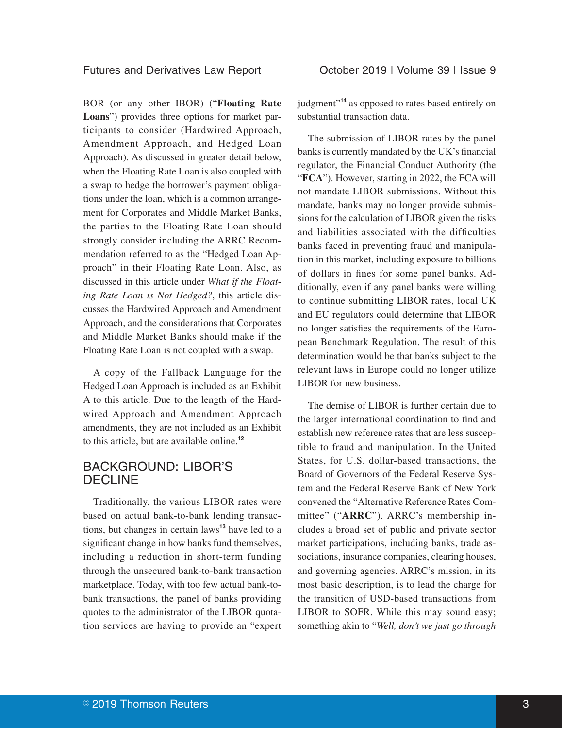BOR (or any other IBOR) ("**Floating Rate Loans**") provides three options for market participants to consider (Hardwired Approach, Amendment Approach, and Hedged Loan Approach). As discussed in greater detail below, when the Floating Rate Loan is also coupled with a swap to hedge the borrower's payment obligations under the loan, which is a common arrangement for Corporates and Middle Market Banks, the parties to the Floating Rate Loan should strongly consider including the ARRC Recommendation referred to as the "Hedged Loan Approach" in their Floating Rate Loan. Also, as discussed in this article under *What if the Floating Rate Loan is Not Hedged?*, this article discusses the Hardwired Approach and Amendment Approach, and the considerations that Corporates and Middle Market Banks should make if the Floating Rate Loan is not coupled with a swap.

A copy of the Fallback Language for the Hedged Loan Approach is included as an Exhibit A to this article. Due to the length of the Hardwired Approach and Amendment Approach amendments, they are not included as an Exhibit to this article, but are available online.**<sup>12</sup>**

### BACKGROUND: LIBOR'S DECLINE

Traditionally, the various LIBOR rates were based on actual bank-to-bank lending transactions, but changes in certain laws**<sup>13</sup>** have led to a significant change in how banks fund themselves, including a reduction in short-term funding through the unsecured bank-to-bank transaction marketplace. Today, with too few actual bank-tobank transactions, the panel of banks providing quotes to the administrator of the LIBOR quotation services are having to provide an "expert judgment"**<sup>14</sup>** as opposed to rates based entirely on substantial transaction data.

The submission of LIBOR rates by the panel banks is currently mandated by the UK's financial regulator, the Financial Conduct Authority (the "**FCA**"). However, starting in 2022, the FCA will not mandate LIBOR submissions. Without this mandate, banks may no longer provide submissions for the calculation of LIBOR given the risks and liabilities associated with the difficulties banks faced in preventing fraud and manipulation in this market, including exposure to billions of dollars in fines for some panel banks. Additionally, even if any panel banks were willing to continue submitting LIBOR rates, local UK and EU regulators could determine that LIBOR no longer satisfies the requirements of the European Benchmark Regulation. The result of this determination would be that banks subject to the relevant laws in Europe could no longer utilize LIBOR for new business.

The demise of LIBOR is further certain due to the larger international coordination to find and establish new reference rates that are less susceptible to fraud and manipulation. In the United States, for U.S. dollar-based transactions, the Board of Governors of the Federal Reserve System and the Federal Reserve Bank of New York convened the "Alternative Reference Rates Committee" ("**ARRC**"). ARRC's membership includes a broad set of public and private sector market participations, including banks, trade associations, insurance companies, clearing houses, and governing agencies. ARRC's mission, in its most basic description, is to lead the charge for the transition of USD-based transactions from LIBOR to SOFR. While this may sound easy; something akin to "*Well, don't we just go through*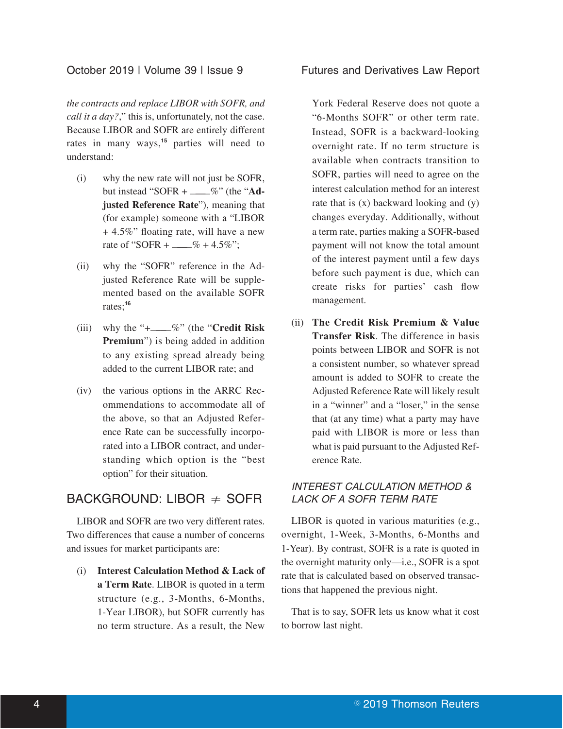### October 2019 | Volume 39 | Issue 9 Futures and Derivatives Law Report

*the contracts and replace LIBOR with SOFR, and call it a day?*," this is, unfortunately, not the case. Because LIBOR and SOFR are entirely different rates in many ways,**<sup>15</sup>** parties will need to understand:

- (i) why the new rate will not just be SOFR, but instead "SOFR + ———%" (the "**Adjusted Reference Rate**"), meaning that (for example) someone with a "LIBOR + 4.5%" floating rate, will have a new rate of "SOFR +  $\_\_\%$  + 4.5%";
- (ii) why the "SOFR" reference in the Adjusted Reference Rate will be supplemented based on the available SOFR rates;**<sup>16</sup>**
- (iii) why the "+———%" (the "**Credit Risk Premium**") is being added in addition to any existing spread already being added to the current LIBOR rate; and
- (iv) the various options in the ARRC Recommendations to accommodate all of the above, so that an Adjusted Reference Rate can be successfully incorporated into a LIBOR contract, and understanding which option is the "best option" for their situation.

### BACKGROUND: LIBOR  $\neq$  SOFR

LIBOR and SOFR are two very different rates. Two differences that cause a number of concerns and issues for market participants are:

(i) **Interest Calculation Method & Lack of a Term Rate**. LIBOR is quoted in a term structure (e.g., 3-Months, 6-Months, 1-Year LIBOR), but SOFR currently has no term structure. As a result, the New

York Federal Reserve does not quote a "6-Months SOFR" or other term rate. Instead, SOFR is a backward-looking overnight rate. If no term structure is available when contracts transition to SOFR, parties will need to agree on the interest calculation method for an interest rate that is  $(x)$  backward looking and  $(y)$ changes everyday. Additionally, without a term rate, parties making a SOFR-based payment will not know the total amount of the interest payment until a few days before such payment is due, which can create risks for parties' cash flow management.

(ii) **The Credit Risk Premium & Value Transfer Risk**. The difference in basis points between LIBOR and SOFR is not a consistent number, so whatever spread amount is added to SOFR to create the Adjusted Reference Rate will likely result in a "winner" and a "loser," in the sense that (at any time) what a party may have paid with LIBOR is more or less than what is paid pursuant to the Adjusted Reference Rate.

### INTEREST CALCULATION METHOD & LACK OF A SOFR TERM RATE

LIBOR is quoted in various maturities (e.g., overnight, 1-Week, 3-Months, 6-Months and 1-Year). By contrast, SOFR is a rate is quoted in the overnight maturity only—i.e., SOFR is a spot rate that is calculated based on observed transactions that happened the previous night.

That is to say, SOFR lets us know what it cost to borrow last night.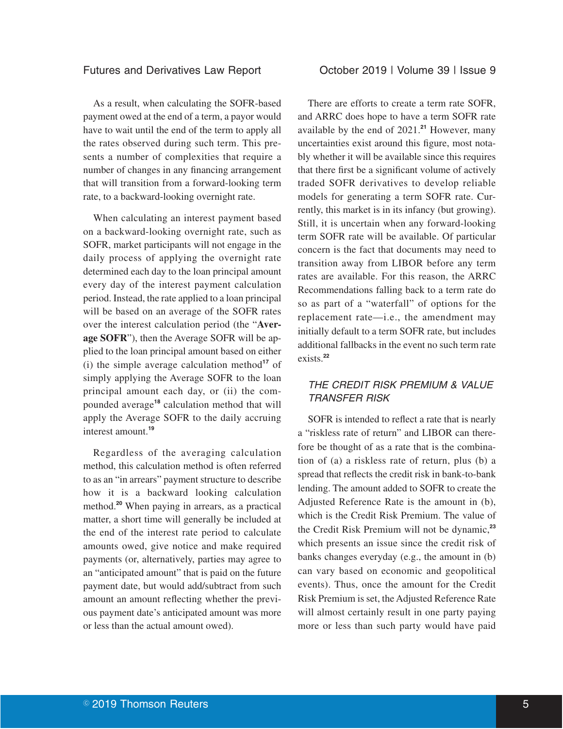As a result, when calculating the SOFR-based payment owed at the end of a term, a payor would have to wait until the end of the term to apply all the rates observed during such term. This presents a number of complexities that require a number of changes in any financing arrangement that will transition from a forward-looking term rate, to a backward-looking overnight rate.

When calculating an interest payment based on a backward-looking overnight rate, such as SOFR, market participants will not engage in the daily process of applying the overnight rate determined each day to the loan principal amount every day of the interest payment calculation period. Instead, the rate applied to a loan principal will be based on an average of the SOFR rates over the interest calculation period (the "**Average SOFR**"), then the Average SOFR will be applied to the loan principal amount based on either (i) the simple average calculation method**<sup>17</sup>** of simply applying the Average SOFR to the loan principal amount each day, or (ii) the compounded average**<sup>18</sup>** calculation method that will apply the Average SOFR to the daily accruing interest amount.**<sup>19</sup>**

Regardless of the averaging calculation method, this calculation method is often referred to as an "in arrears" payment structure to describe how it is a backward looking calculation method.**<sup>20</sup>** When paying in arrears, as a practical matter, a short time will generally be included at the end of the interest rate period to calculate amounts owed, give notice and make required payments (or, alternatively, parties may agree to an "anticipated amount" that is paid on the future payment date, but would add/subtract from such amount an amount reflecting whether the previous payment date's anticipated amount was more or less than the actual amount owed).

There are efforts to create a term rate SOFR, and ARRC does hope to have a term SOFR rate available by the end of 2021.**<sup>21</sup>** However, many uncertainties exist around this figure, most notably whether it will be available since this requires that there first be a significant volume of actively traded SOFR derivatives to develop reliable models for generating a term SOFR rate. Currently, this market is in its infancy (but growing). Still, it is uncertain when any forward-looking term SOFR rate will be available. Of particular concern is the fact that documents may need to transition away from LIBOR before any term rates are available. For this reason, the ARRC Recommendations falling back to a term rate do so as part of a "waterfall" of options for the replacement rate—i.e., the amendment may initially default to a term SOFR rate, but includes additional fallbacks in the event no such term rate exists.**<sup>22</sup>**

### THE CREDIT RISK PREMIUM & VALUE TRANSFER RISK

SOFR is intended to reflect a rate that is nearly a "riskless rate of return" and LIBOR can therefore be thought of as a rate that is the combination of (a) a riskless rate of return, plus (b) a spread that reflects the credit risk in bank-to-bank lending. The amount added to SOFR to create the Adjusted Reference Rate is the amount in (b), which is the Credit Risk Premium. The value of the Credit Risk Premium will not be dynamic,**<sup>23</sup>** which presents an issue since the credit risk of banks changes everyday (e.g., the amount in (b) can vary based on economic and geopolitical events). Thus, once the amount for the Credit Risk Premium is set, the Adjusted Reference Rate will almost certainly result in one party paying more or less than such party would have paid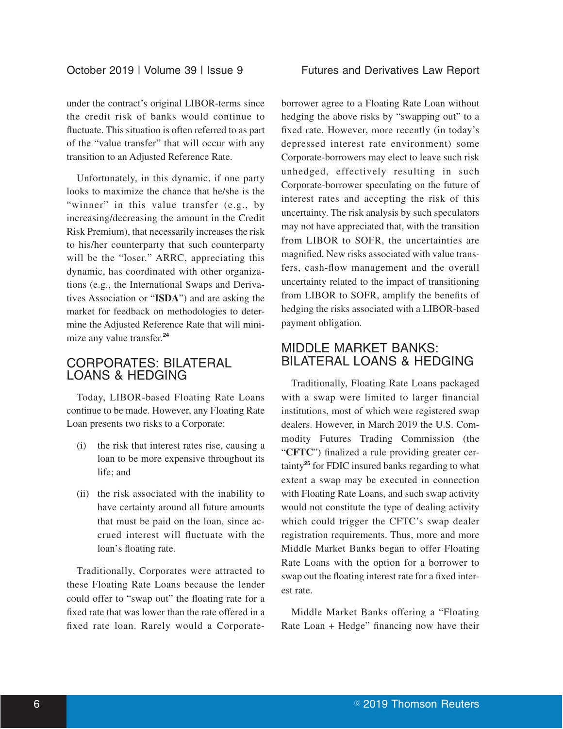under the contract's original LIBOR-terms since the credit risk of banks would continue to fluctuate. This situation is often referred to as part of the "value transfer" that will occur with any transition to an Adjusted Reference Rate.

Unfortunately, in this dynamic, if one party looks to maximize the chance that he/she is the "winner" in this value transfer (e.g., by increasing/decreasing the amount in the Credit Risk Premium), that necessarily increases the risk to his/her counterparty that such counterparty will be the "loser." ARRC, appreciating this dynamic, has coordinated with other organizations (e.g., the International Swaps and Derivatives Association or "**ISDA**") and are asking the market for feedback on methodologies to determine the Adjusted Reference Rate that will minimize any value transfer.**<sup>24</sup>**

### CORPORATES: BILATERAL LOANS & HEDGING

Today, LIBOR-based Floating Rate Loans continue to be made. However, any Floating Rate Loan presents two risks to a Corporate:

- (i) the risk that interest rates rise, causing a loan to be more expensive throughout its life; and
- (ii) the risk associated with the inability to have certainty around all future amounts that must be paid on the loan, since accrued interest will fluctuate with the loan's floating rate.

Traditionally, Corporates were attracted to these Floating Rate Loans because the lender could offer to "swap out" the floating rate for a fixed rate that was lower than the rate offered in a fixed rate loan. Rarely would a Corporateborrower agree to a Floating Rate Loan without hedging the above risks by "swapping out" to a fixed rate. However, more recently (in today's depressed interest rate environment) some Corporate-borrowers may elect to leave such risk unhedged, effectively resulting in such Corporate-borrower speculating on the future of interest rates and accepting the risk of this uncertainty. The risk analysis by such speculators may not have appreciated that, with the transition from LIBOR to SOFR, the uncertainties are magnified. New risks associated with value transfers, cash-flow management and the overall uncertainty related to the impact of transitioning from LIBOR to SOFR, amplify the benefits of hedging the risks associated with a LIBOR-based payment obligation.

# MIDDLE MARKET BANKS: BILATERAL LOANS & HEDGING

Traditionally, Floating Rate Loans packaged with a swap were limited to larger financial institutions, most of which were registered swap dealers. However, in March 2019 the U.S. Commodity Futures Trading Commission (the "**CFTC**") finalized a rule providing greater certainty**<sup>25</sup>** for FDIC insured banks regarding to what extent a swap may be executed in connection with Floating Rate Loans, and such swap activity would not constitute the type of dealing activity which could trigger the CFTC's swap dealer registration requirements. Thus, more and more Middle Market Banks began to offer Floating Rate Loans with the option for a borrower to swap out the floating interest rate for a fixed interest rate.

Middle Market Banks offering a "Floating Rate Loan + Hedge" financing now have their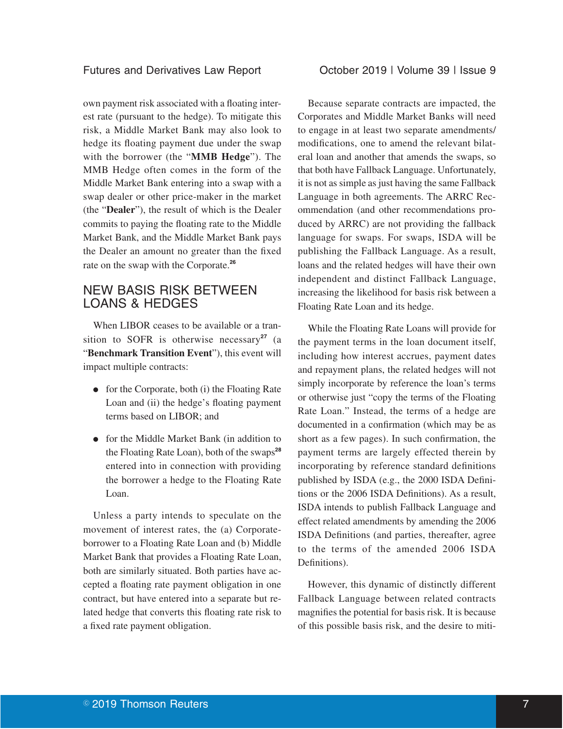### Futures and Derivatives Law Report **Conservation Contract 2019 | Volume 39 | Issue 9**

own payment risk associated with a floating interest rate (pursuant to the hedge). To mitigate this risk, a Middle Market Bank may also look to hedge its floating payment due under the swap with the borrower (the "**MMB Hedge**"). The MMB Hedge often comes in the form of the Middle Market Bank entering into a swap with a swap dealer or other price-maker in the market (the "**Dealer**"), the result of which is the Dealer commits to paying the floating rate to the Middle Market Bank, and the Middle Market Bank pays the Dealer an amount no greater than the fixed rate on the swap with the Corporate.**<sup>26</sup>**

### NEW BASIS RISK BETWEEN LOANS & HEDGES

When LIBOR ceases to be available or a transition to SOFR is otherwise necessary<sup>27</sup> (a "**Benchmark Transition Event**"), this event will impact multiple contracts:

- $\bullet$  for the Corporate, both (i) the Floating Rate Loan and (ii) the hedge's floating payment terms based on LIBOR; and
- for the Middle Market Bank (in addition to the Floating Rate Loan), both of the swaps**<sup>28</sup>** entered into in connection with providing the borrower a hedge to the Floating Rate Loan.

Unless a party intends to speculate on the movement of interest rates, the (a) Corporateborrower to a Floating Rate Loan and (b) Middle Market Bank that provides a Floating Rate Loan, both are similarly situated. Both parties have accepted a floating rate payment obligation in one contract, but have entered into a separate but related hedge that converts this floating rate risk to a fixed rate payment obligation.

Because separate contracts are impacted, the Corporates and Middle Market Banks will need to engage in at least two separate amendments/ modifications, one to amend the relevant bilateral loan and another that amends the swaps, so that both have Fallback Language. Unfortunately, it is not as simple as just having the same Fallback Language in both agreements. The ARRC Recommendation (and other recommendations produced by ARRC) are not providing the fallback language for swaps. For swaps, ISDA will be publishing the Fallback Language. As a result, loans and the related hedges will have their own independent and distinct Fallback Language, increasing the likelihood for basis risk between a Floating Rate Loan and its hedge.

While the Floating Rate Loans will provide for the payment terms in the loan document itself, including how interest accrues, payment dates and repayment plans, the related hedges will not simply incorporate by reference the loan's terms or otherwise just "copy the terms of the Floating Rate Loan." Instead, the terms of a hedge are documented in a confirmation (which may be as short as a few pages). In such confirmation, the payment terms are largely effected therein by incorporating by reference standard definitions published by ISDA (e.g., the 2000 ISDA Definitions or the 2006 ISDA Definitions). As a result, ISDA intends to publish Fallback Language and effect related amendments by amending the 2006 ISDA Definitions (and parties, thereafter, agree to the terms of the amended 2006 ISDA Definitions).

However, this dynamic of distinctly different Fallback Language between related contracts magnifies the potential for basis risk. It is because of this possible basis risk, and the desire to miti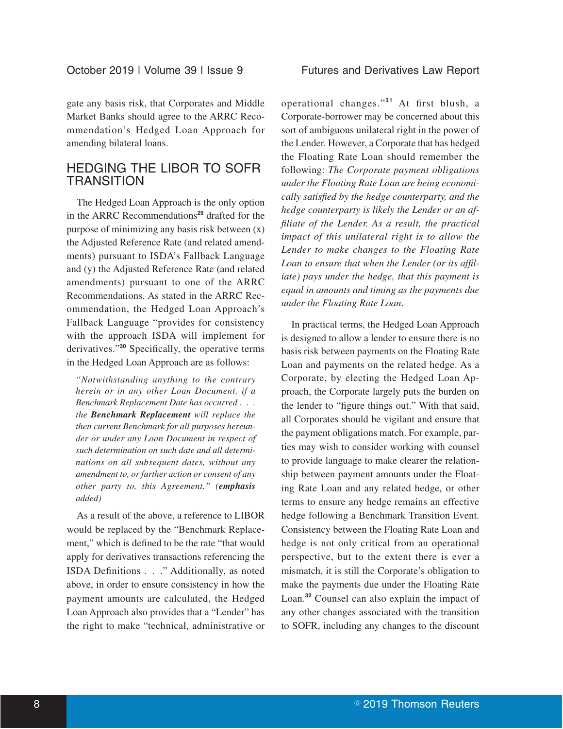gate any basis risk, that Corporates and Middle Market Banks should agree to the ARRC Recommendation's Hedged Loan Approach for amending bilateral loans.

### HEDGING THE LIBOR TO SOFR **TRANSITION**

The Hedged Loan Approach is the only option in the ARRC Recommendations**<sup>29</sup>** drafted for the purpose of minimizing any basis risk between (x) the Adjusted Reference Rate (and related amendments) pursuant to ISDA's Fallback Language and (y) the Adjusted Reference Rate (and related amendments) pursuant to one of the ARRC Recommendations. As stated in the ARRC Recommendation, the Hedged Loan Approach's Fallback Language "provides for consistency with the approach ISDA will implement for derivatives."**<sup>30</sup>** Specifically, the operative terms in the Hedged Loan Approach are as follows:

*"Notwithstanding anything to the contrary herein or in any other Loan Document, if a Benchmark Replacement Date has occurred . . . the Benchmark Replacement will replace the then current Benchmark for all purposes hereunder or under any Loan Document in respect of such determination on such date and all determinations on all subsequent dates, without any amendment to, or further action or consent of any other party to, this Agreement." (emphasis added)*

As a result of the above, a reference to LIBOR would be replaced by the "Benchmark Replacement," which is defined to be the rate "that would apply for derivatives transactions referencing the ISDA Definitions . . ." Additionally, as noted above, in order to ensure consistency in how the payment amounts are calculated, the Hedged Loan Approach also provides that a "Lender" has the right to make "technical, administrative or

operational changes."**<sup>31</sup>** At first blush, a Corporate-borrower may be concerned about this sort of ambiguous unilateral right in the power of the Lender. However, a Corporate that has hedged the Floating Rate Loan should remember the following: *The Corporate payment obligations under the Floating Rate Loan are being economically satisfied by the hedge counterparty, and the hedge counterparty is likely the Lender or an affiliate of the Lender. As a result, the practical impact of this unilateral right is to allow the Lender to make changes to the Floating Rate Loan to ensure that when the Lender (or its affiliate) pays under the hedge, that this payment is equal in amounts and timing as the payments due under the Floating Rate Loan*.

In practical terms, the Hedged Loan Approach is designed to allow a lender to ensure there is no basis risk between payments on the Floating Rate Loan and payments on the related hedge. As a Corporate, by electing the Hedged Loan Approach, the Corporate largely puts the burden on the lender to "figure things out." With that said, all Corporates should be vigilant and ensure that the payment obligations match. For example, parties may wish to consider working with counsel to provide language to make clearer the relationship between payment amounts under the Floating Rate Loan and any related hedge, or other terms to ensure any hedge remains an effective hedge following a Benchmark Transition Event. Consistency between the Floating Rate Loan and hedge is not only critical from an operational perspective, but to the extent there is ever a mismatch, it is still the Corporate's obligation to make the payments due under the Floating Rate Loan.**<sup>32</sup>** Counsel can also explain the impact of any other changes associated with the transition to SOFR, including any changes to the discount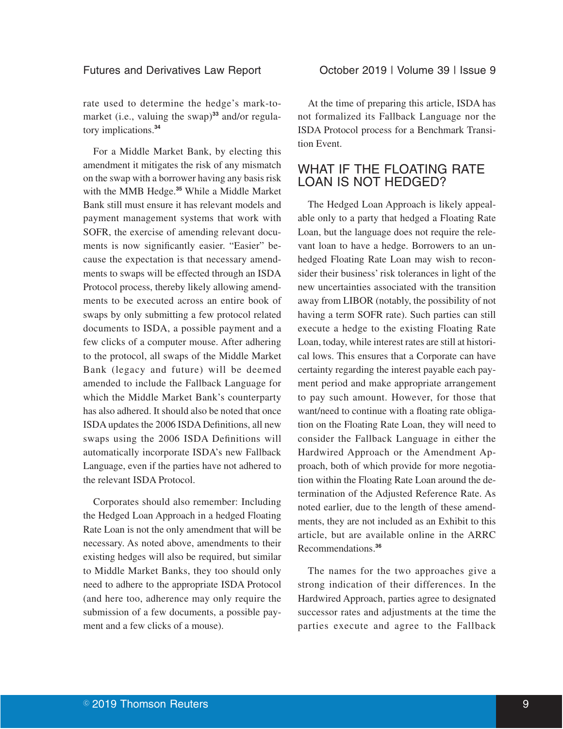### Futures and Derivatives Law Report **Conservatives** October 2019 | Volume 39 | Issue 9

rate used to determine the hedge's mark-tomarket (i.e., valuing the swap)<sup>33</sup> and/or regulatory implications.**<sup>34</sup>**

For a Middle Market Bank, by electing this amendment it mitigates the risk of any mismatch on the swap with a borrower having any basis risk with the MMB Hedge.**<sup>35</sup>** While a Middle Market Bank still must ensure it has relevant models and payment management systems that work with SOFR, the exercise of amending relevant documents is now significantly easier. "Easier" because the expectation is that necessary amendments to swaps will be effected through an ISDA Protocol process, thereby likely allowing amendments to be executed across an entire book of swaps by only submitting a few protocol related documents to ISDA, a possible payment and a few clicks of a computer mouse. After adhering to the protocol, all swaps of the Middle Market Bank (legacy and future) will be deemed amended to include the Fallback Language for which the Middle Market Bank's counterparty has also adhered. It should also be noted that once ISDA updates the 2006 ISDA Definitions, all new swaps using the 2006 ISDA Definitions will automatically incorporate ISDA's new Fallback Language, even if the parties have not adhered to the relevant ISDA Protocol.

Corporates should also remember: Including the Hedged Loan Approach in a hedged Floating Rate Loan is not the only amendment that will be necessary. As noted above, amendments to their existing hedges will also be required, but similar to Middle Market Banks, they too should only need to adhere to the appropriate ISDA Protocol (and here too, adherence may only require the submission of a few documents, a possible payment and a few clicks of a mouse).

At the time of preparing this article, ISDA has not formalized its Fallback Language nor the ISDA Protocol process for a Benchmark Transition Event.

# WHAT IF THE FLOATING RATE LOAN IS NOT HEDGED?

The Hedged Loan Approach is likely appealable only to a party that hedged a Floating Rate Loan, but the language does not require the relevant loan to have a hedge. Borrowers to an unhedged Floating Rate Loan may wish to reconsider their business' risk tolerances in light of the new uncertainties associated with the transition away from LIBOR (notably, the possibility of not having a term SOFR rate). Such parties can still execute a hedge to the existing Floating Rate Loan, today, while interest rates are still at historical lows. This ensures that a Corporate can have certainty regarding the interest payable each payment period and make appropriate arrangement to pay such amount. However, for those that want/need to continue with a floating rate obligation on the Floating Rate Loan, they will need to consider the Fallback Language in either the Hardwired Approach or the Amendment Approach, both of which provide for more negotiation within the Floating Rate Loan around the determination of the Adjusted Reference Rate. As noted earlier, due to the length of these amendments, they are not included as an Exhibit to this article, but are available online in the ARRC Recommendations.**<sup>36</sup>**

The names for the two approaches give a strong indication of their differences. In the Hardwired Approach, parties agree to designated successor rates and adjustments at the time the parties execute and agree to the Fallback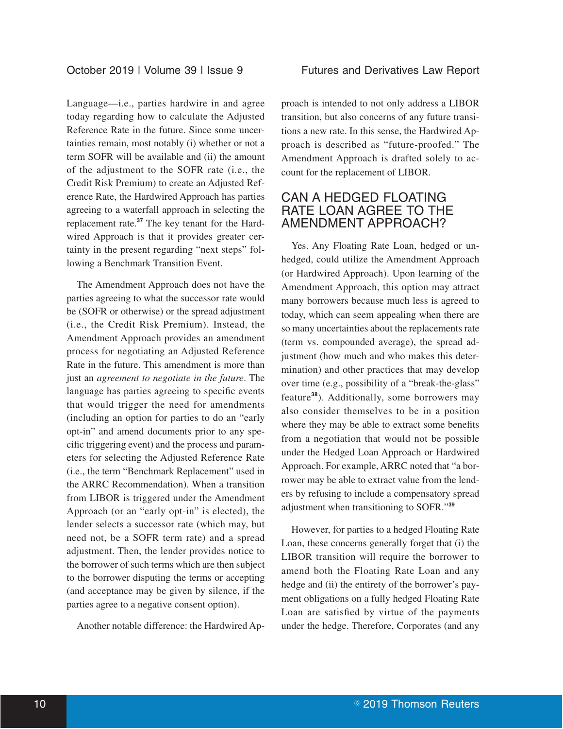Language—i.e., parties hardwire in and agree today regarding how to calculate the Adjusted Reference Rate in the future. Since some uncertainties remain, most notably (i) whether or not a term SOFR will be available and (ii) the amount of the adjustment to the SOFR rate (i.e., the Credit Risk Premium) to create an Adjusted Reference Rate, the Hardwired Approach has parties agreeing to a waterfall approach in selecting the replacement rate.**<sup>37</sup>** The key tenant for the Hardwired Approach is that it provides greater certainty in the present regarding "next steps" following a Benchmark Transition Event.

The Amendment Approach does not have the parties agreeing to what the successor rate would be (SOFR or otherwise) or the spread adjustment (i.e., the Credit Risk Premium). Instead, the Amendment Approach provides an amendment process for negotiating an Adjusted Reference Rate in the future. This amendment is more than just an *agreement to negotiate in the future*. The language has parties agreeing to specific events that would trigger the need for amendments (including an option for parties to do an "early opt-in" and amend documents prior to any specific triggering event) and the process and parameters for selecting the Adjusted Reference Rate (i.e., the term "Benchmark Replacement" used in the ARRC Recommendation). When a transition from LIBOR is triggered under the Amendment Approach (or an "early opt-in" is elected), the lender selects a successor rate (which may, but need not, be a SOFR term rate) and a spread adjustment. Then, the lender provides notice to the borrower of such terms which are then subject to the borrower disputing the terms or accepting (and acceptance may be given by silence, if the parties agree to a negative consent option).

Another notable difference: the Hardwired Ap-

proach is intended to not only address a LIBOR transition, but also concerns of any future transitions a new rate. In this sense, the Hardwired Approach is described as "future-proofed." The Amendment Approach is drafted solely to account for the replacement of LIBOR.

### CAN A HEDGED FLOATING RATE LOAN AGREE TO THE AMENDMENT APPROACH?

Yes. Any Floating Rate Loan, hedged or unhedged, could utilize the Amendment Approach (or Hardwired Approach). Upon learning of the Amendment Approach, this option may attract many borrowers because much less is agreed to today, which can seem appealing when there are so many uncertainties about the replacements rate (term vs. compounded average), the spread adjustment (how much and who makes this determination) and other practices that may develop over time (e.g., possibility of a "break-the-glass" feature**<sup>38</sup>**). Additionally, some borrowers may also consider themselves to be in a position where they may be able to extract some benefits from a negotiation that would not be possible under the Hedged Loan Approach or Hardwired Approach. For example, ARRC noted that "a borrower may be able to extract value from the lenders by refusing to include a compensatory spread adjustment when transitioning to SOFR."**<sup>39</sup>**

However, for parties to a hedged Floating Rate Loan, these concerns generally forget that (i) the LIBOR transition will require the borrower to amend both the Floating Rate Loan and any hedge and (ii) the entirety of the borrower's payment obligations on a fully hedged Floating Rate Loan are satisfied by virtue of the payments under the hedge. Therefore, Corporates (and any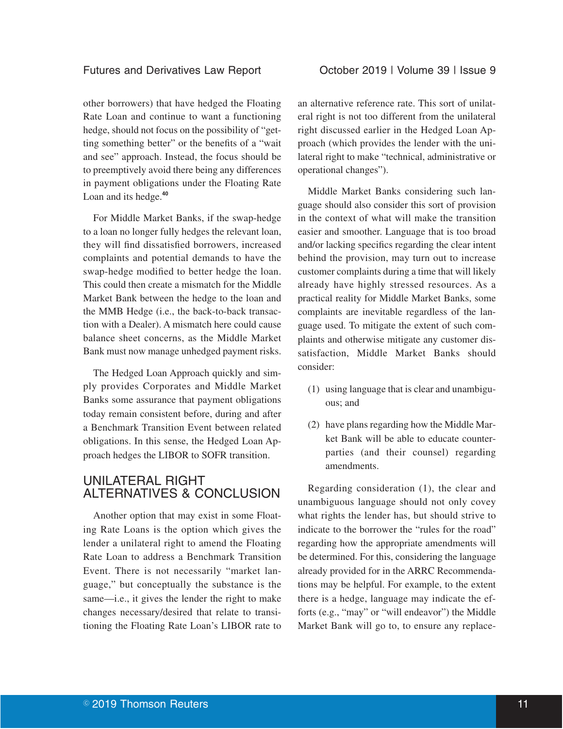### Futures and Derivatives Law Report **Correspondent Correspondent Correspondent Correspondent Correspondent Correspondent Correspondent Correspondent Correspondent Correspondent Correspondent Correspondent Correspondent Corr**

other borrowers) that have hedged the Floating Rate Loan and continue to want a functioning hedge, should not focus on the possibility of "getting something better" or the benefits of a "wait and see" approach. Instead, the focus should be to preemptively avoid there being any differences in payment obligations under the Floating Rate Loan and its hedge.**<sup>40</sup>**

For Middle Market Banks, if the swap-hedge to a loan no longer fully hedges the relevant loan, they will find dissatisfied borrowers, increased complaints and potential demands to have the swap-hedge modified to better hedge the loan. This could then create a mismatch for the Middle Market Bank between the hedge to the loan and the MMB Hedge (i.e., the back-to-back transaction with a Dealer). A mismatch here could cause balance sheet concerns, as the Middle Market Bank must now manage unhedged payment risks.

The Hedged Loan Approach quickly and simply provides Corporates and Middle Market Banks some assurance that payment obligations today remain consistent before, during and after a Benchmark Transition Event between related obligations. In this sense, the Hedged Loan Approach hedges the LIBOR to SOFR transition.

### UNILATERAL RIGHT ALTERNATIVES & CONCLUSION

Another option that may exist in some Floating Rate Loans is the option which gives the lender a unilateral right to amend the Floating Rate Loan to address a Benchmark Transition Event. There is not necessarily "market language," but conceptually the substance is the same—i.e., it gives the lender the right to make changes necessary/desired that relate to transitioning the Floating Rate Loan's LIBOR rate to an alternative reference rate. This sort of unilateral right is not too different from the unilateral right discussed earlier in the Hedged Loan Approach (which provides the lender with the unilateral right to make "technical, administrative or operational changes").

Middle Market Banks considering such language should also consider this sort of provision in the context of what will make the transition easier and smoother. Language that is too broad and/or lacking specifics regarding the clear intent behind the provision, may turn out to increase customer complaints during a time that will likely already have highly stressed resources. As a practical reality for Middle Market Banks, some complaints are inevitable regardless of the language used. To mitigate the extent of such complaints and otherwise mitigate any customer dissatisfaction, Middle Market Banks should consider:

- (1) using language that is clear and unambiguous; and
- (2) have plans regarding how the Middle Market Bank will be able to educate counterparties (and their counsel) regarding amendments.

Regarding consideration (1), the clear and unambiguous language should not only covey what rights the lender has, but should strive to indicate to the borrower the "rules for the road" regarding how the appropriate amendments will be determined. For this, considering the language already provided for in the ARRC Recommendations may be helpful. For example, to the extent there is a hedge, language may indicate the efforts (e.g., "may" or "will endeavor") the Middle Market Bank will go to, to ensure any replace-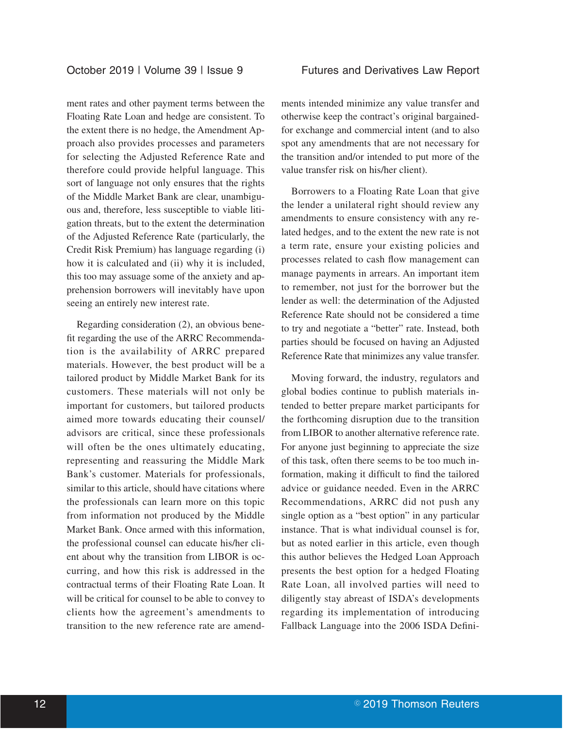ment rates and other payment terms between the Floating Rate Loan and hedge are consistent. To the extent there is no hedge, the Amendment Approach also provides processes and parameters for selecting the Adjusted Reference Rate and therefore could provide helpful language. This sort of language not only ensures that the rights of the Middle Market Bank are clear, unambiguous and, therefore, less susceptible to viable litigation threats, but to the extent the determination of the Adjusted Reference Rate (particularly, the Credit Risk Premium) has language regarding (i) how it is calculated and (ii) why it is included, this too may assuage some of the anxiety and apprehension borrowers will inevitably have upon seeing an entirely new interest rate.

Regarding consideration (2), an obvious benefit regarding the use of the ARRC Recommendation is the availability of ARRC prepared materials. However, the best product will be a tailored product by Middle Market Bank for its customers. These materials will not only be important for customers, but tailored products aimed more towards educating their counsel/ advisors are critical, since these professionals will often be the ones ultimately educating, representing and reassuring the Middle Mark Bank's customer. Materials for professionals, similar to this article, should have citations where the professionals can learn more on this topic from information not produced by the Middle Market Bank. Once armed with this information, the professional counsel can educate his/her client about why the transition from LIBOR is occurring, and how this risk is addressed in the contractual terms of their Floating Rate Loan. It will be critical for counsel to be able to convey to clients how the agreement's amendments to transition to the new reference rate are amendments intended minimize any value transfer and otherwise keep the contract's original bargainedfor exchange and commercial intent (and to also spot any amendments that are not necessary for the transition and/or intended to put more of the value transfer risk on his/her client).

Borrowers to a Floating Rate Loan that give the lender a unilateral right should review any amendments to ensure consistency with any related hedges, and to the extent the new rate is not a term rate, ensure your existing policies and processes related to cash flow management can manage payments in arrears. An important item to remember, not just for the borrower but the lender as well: the determination of the Adjusted Reference Rate should not be considered a time to try and negotiate a "better" rate. Instead, both parties should be focused on having an Adjusted Reference Rate that minimizes any value transfer.

Moving forward, the industry, regulators and global bodies continue to publish materials intended to better prepare market participants for the forthcoming disruption due to the transition from LIBOR to another alternative reference rate. For anyone just beginning to appreciate the size of this task, often there seems to be too much information, making it difficult to find the tailored advice or guidance needed. Even in the ARRC Recommendations, ARRC did not push any single option as a "best option" in any particular instance. That is what individual counsel is for, but as noted earlier in this article, even though this author believes the Hedged Loan Approach presents the best option for a hedged Floating Rate Loan, all involved parties will need to diligently stay abreast of ISDA's developments regarding its implementation of introducing Fallback Language into the 2006 ISDA Defini-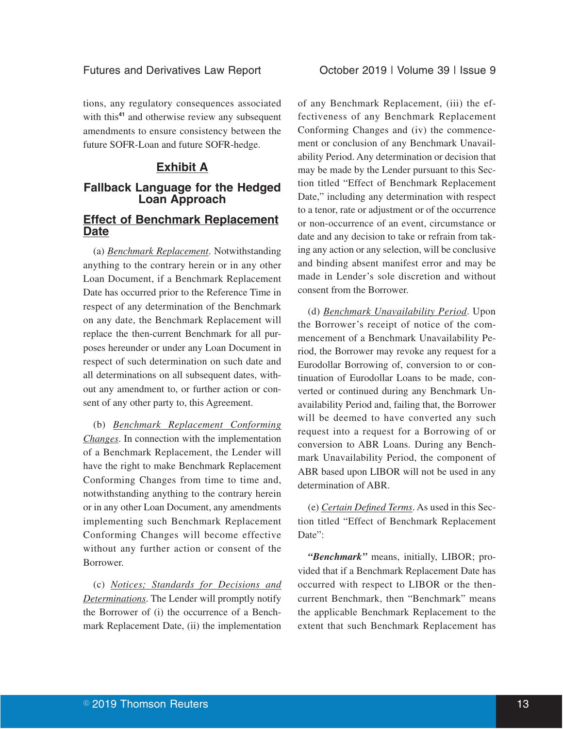tions, any regulatory consequences associated with this<sup>41</sup> and otherwise review any subsequent amendments to ensure consistency between the future SOFR-Loan and future SOFR-hedge.

### **Exhibit A**

### **Fallback Language for the Hedged Loan Approach**

### **Effect of Benchmark Replacement Date**

(a) *Benchmark Replacement*. Notwithstanding anything to the contrary herein or in any other Loan Document, if a Benchmark Replacement Date has occurred prior to the Reference Time in respect of any determination of the Benchmark on any date, the Benchmark Replacement will replace the then-current Benchmark for all purposes hereunder or under any Loan Document in respect of such determination on such date and all determinations on all subsequent dates, without any amendment to, or further action or consent of any other party to, this Agreement.

(b) *Benchmark Replacement Conforming Changes*. In connection with the implementation of a Benchmark Replacement, the Lender will have the right to make Benchmark Replacement Conforming Changes from time to time and, notwithstanding anything to the contrary herein or in any other Loan Document, any amendments implementing such Benchmark Replacement Conforming Changes will become effective without any further action or consent of the Borrower.

(c) *Notices; Standards for Decisions and Determinations*. The Lender will promptly notify the Borrower of (i) the occurrence of a Benchmark Replacement Date, (ii) the implementation

of any Benchmark Replacement, (iii) the effectiveness of any Benchmark Replacement Conforming Changes and (iv) the commencement or conclusion of any Benchmark Unavailability Period. Any determination or decision that may be made by the Lender pursuant to this Section titled "Effect of Benchmark Replacement Date," including any determination with respect to a tenor, rate or adjustment or of the occurrence or non-occurrence of an event, circumstance or date and any decision to take or refrain from taking any action or any selection, will be conclusive and binding absent manifest error and may be made in Lender's sole discretion and without consent from the Borrower.

(d) *Benchmark Unavailability Period*. Upon the Borrower's receipt of notice of the commencement of a Benchmark Unavailability Period, the Borrower may revoke any request for a Eurodollar Borrowing of, conversion to or continuation of Eurodollar Loans to be made, converted or continued during any Benchmark Unavailability Period and, failing that, the Borrower will be deemed to have converted any such request into a request for a Borrowing of or conversion to ABR Loans. During any Benchmark Unavailability Period, the component of ABR based upon LIBOR will not be used in any determination of ABR.

(e) *Certain Defined Terms*. As used in this Section titled "Effect of Benchmark Replacement Date":

*"Benchmark"* means, initially, LIBOR; provided that if a Benchmark Replacement Date has occurred with respect to LIBOR or the thencurrent Benchmark, then "Benchmark" means the applicable Benchmark Replacement to the extent that such Benchmark Replacement has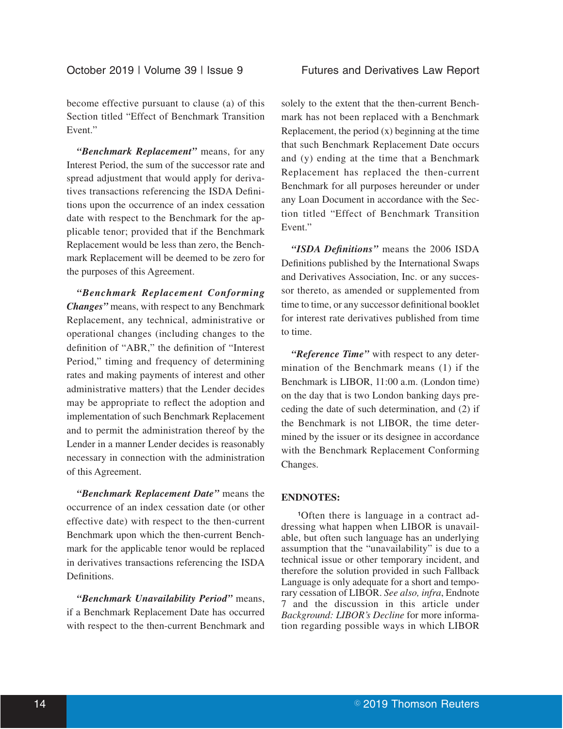become effective pursuant to clause (a) of this Section titled "Effect of Benchmark Transition Event."

*"Benchmark Replacement"* means, for any Interest Period, the sum of the successor rate and spread adjustment that would apply for derivatives transactions referencing the ISDA Definitions upon the occurrence of an index cessation date with respect to the Benchmark for the applicable tenor; provided that if the Benchmark Replacement would be less than zero, the Benchmark Replacement will be deemed to be zero for the purposes of this Agreement.

*"Benchmark Replacement Conforming Changes"* means, with respect to any Benchmark Replacement, any technical, administrative or operational changes (including changes to the definition of "ABR," the definition of "Interest Period," timing and frequency of determining rates and making payments of interest and other administrative matters) that the Lender decides may be appropriate to reflect the adoption and implementation of such Benchmark Replacement and to permit the administration thereof by the Lender in a manner Lender decides is reasonably necessary in connection with the administration of this Agreement.

*"Benchmark Replacement Date"* means the occurrence of an index cessation date (or other effective date) with respect to the then-current Benchmark upon which the then-current Benchmark for the applicable tenor would be replaced in derivatives transactions referencing the ISDA Definitions.

*"Benchmark Unavailability Period"* means, if a Benchmark Replacement Date has occurred with respect to the then-current Benchmark and

solely to the extent that the then-current Benchmark has not been replaced with a Benchmark Replacement, the period  $(x)$  beginning at the time that such Benchmark Replacement Date occurs and (y) ending at the time that a Benchmark Replacement has replaced the then-current Benchmark for all purposes hereunder or under any Loan Document in accordance with the Section titled "Effect of Benchmark Transition Event."

*"ISDA Definitions"* means the 2006 ISDA Definitions published by the International Swaps and Derivatives Association, Inc. or any successor thereto, as amended or supplemented from time to time, or any successor definitional booklet for interest rate derivatives published from time to time.

*"Reference Time"* with respect to any determination of the Benchmark means (1) if the Benchmark is LIBOR, 11:00 a.m. (London time) on the day that is two London banking days preceding the date of such determination, and (2) if the Benchmark is not LIBOR, the time determined by the issuer or its designee in accordance with the Benchmark Replacement Conforming Changes.

### **ENDNOTES:**

**1**Often there is language in a contract addressing what happen when LIBOR is unavailable, but often such language has an underlying assumption that the "unavailability" is due to a technical issue or other temporary incident, and therefore the solution provided in such Fallback Language is only adequate for a short and temporary cessation of LIBOR. *See also, infra*, Endnote 7 and the discussion in this article under *Background: LIBOR's Decline* for more information regarding possible ways in which LIBOR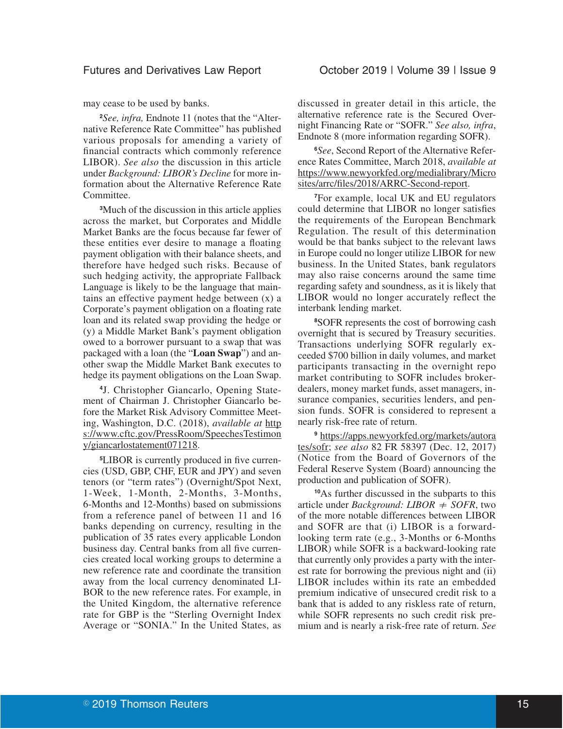may cease to be used by banks.

**<sup>2</sup>***See, infra,* Endnote 11 (notes that the "Alternative Reference Rate Committee" has published various proposals for amending a variety of financial contracts which commonly reference LIBOR). *See also* the discussion in this article under *Background: LIBOR's Decline* for more information about the Alternative Reference Rate Committee.

**<sup>3</sup>**Much of the discussion in this article applies across the market, but Corporates and Middle Market Banks are the focus because far fewer of these entities ever desire to manage a floating payment obligation with their balance sheets, and therefore have hedged such risks. Because of such hedging activity, the appropriate Fallback Language is likely to be the language that maintains an effective payment hedge between (x) a Corporate's payment obligation on a floating rate loan and its related swap providing the hedge or (y) a Middle Market Bank's payment obligation owed to a borrower pursuant to a swap that was packaged with a loan (the "**Loan Swap**") and another swap the Middle Market Bank executes to hedge its payment obligations on the Loan Swap.

**4** J. Christopher Giancarlo, Opening Statement of Chairman J. Christopher Giancarlo before the Market Risk Advisory Committee Meeting, Washington, D.C. (2018), *available at* http s://www.cftc.gov/PressRoom/SpeechesTestimon y/giancarlostatement071218.

**5**LIBOR is currently produced in five currencies (USD, GBP, CHF, EUR and JPY) and seven tenors (or "term rates") (Overnight/Spot Next, 1-Week, 1-Month, 2-Months, 3-Months, 6-Months and 12-Months) based on submissions from a reference panel of between 11 and 16 banks depending on currency, resulting in the publication of 35 rates every applicable London business day. Central banks from all five currencies created local working groups to determine a new reference rate and coordinate the transition away from the local currency denominated LI-BOR to the new reference rates. For example, in the United Kingdom, the alternative reference rate for GBP is the "Sterling Overnight Index Average or "SONIA." In the United States, as

discussed in greater detail in this article, the alternative reference rate is the Secured Overnight Financing Rate or "SOFR." *See also, infra*, Endnote 8 (more information regarding SOFR).

**6***See*, Second Report of the Alternative Reference Rates Committee, March 2018, *available at* https://www.newyorkfed.org/medialibrary/Micro sites/arrc/files/2018/ARRC-Second-report.

**<sup>7</sup>**For example, local UK and EU regulators could determine that LIBOR no longer satisfies the requirements of the European Benchmark Regulation. The result of this determination would be that banks subject to the relevant laws in Europe could no longer utilize LIBOR for new business. In the United States, bank regulators may also raise concerns around the same time regarding safety and soundness, as it is likely that LIBOR would no longer accurately reflect the interbank lending market.

**<sup>8</sup>**SOFR represents the cost of borrowing cash overnight that is secured by Treasury securities. Transactions underlying SOFR regularly exceeded \$700 billion in daily volumes, and market participants transacting in the overnight repo market contributing to SOFR includes brokerdealers, money market funds, asset managers, insurance companies, securities lenders, and pension funds. SOFR is considered to represent a nearly risk-free rate of return.

**<sup>9</sup>** https://apps.newyorkfed.org/markets/autora tes/sofr; *see also* 82 FR 58397 (Dec. 12, 2017) (Notice from the Board of Governors of the Federal Reserve System (Board) announcing the production and publication of SOFR).

**<sup>10</sup>**As further discussed in the subparts to this article under *Background: LIBOR*  $\neq$  *SOFR*, two of the more notable differences between LIBOR and SOFR are that (i) LIBOR is a forwardlooking term rate (e.g., 3-Months or 6-Months LIBOR) while SOFR is a backward-looking rate that currently only provides a party with the interest rate for borrowing the previous night and (ii) LIBOR includes within its rate an embedded premium indicative of unsecured credit risk to a bank that is added to any riskless rate of return, while SOFR represents no such credit risk premium and is nearly a risk-free rate of return. *See*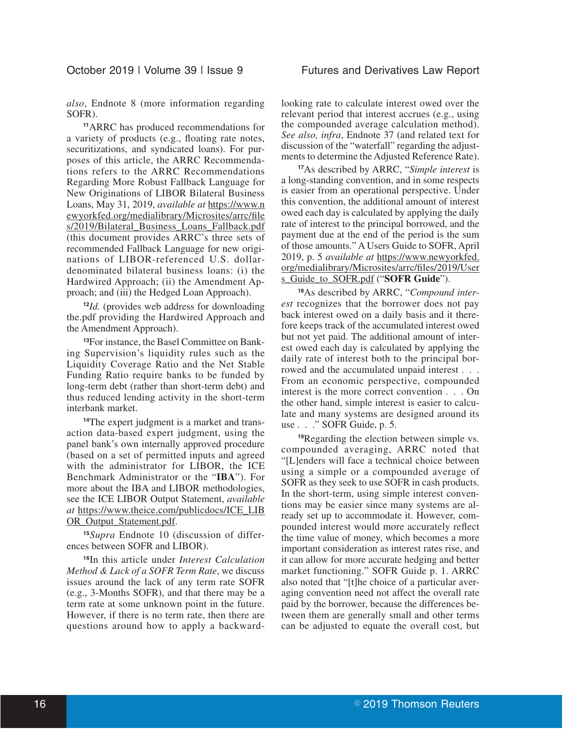*also*, Endnote 8 (more information regarding SOFR).

**<sup>11</sup>**ARRC has produced recommendations for a variety of products (e.g., floating rate notes, securitizations, and syndicated loans). For purposes of this article, the ARRC Recommendations refers to the ARRC Recommendations Regarding More Robust Fallback Language for New Originations of LIBOR Bilateral Business Loans, May 31, 2019, *available at* https://www.n ewyorkfed.org/medialibrary/Microsites/arrc/file s/2019/Bilateral\_Business\_Loans\_Fallback.pdf (this document provides ARRC's three sets of recommended Fallback Language for new originations of LIBOR-referenced U.S. dollardenominated bilateral business loans: (i) the Hardwired Approach; (ii) the Amendment Approach; and (iii) the Hedged Loan Approach).

**<sup>12</sup>***Id.* (provides web address for downloading the.pdf providing the Hardwired Approach and the Amendment Approach).

**13**For instance, the Basel Committee on Banking Supervision's liquidity rules such as the Liquidity Coverage Ratio and the Net Stable Funding Ratio require banks to be funded by long-term debt (rather than short-term debt) and thus reduced lending activity in the short-term interbank market.

**14**The expert judgment is a market and transaction data-based expert judgment, using the panel bank's own internally approved procedure (based on a set of permitted inputs and agreed with the administrator for LIBOR, the ICE Benchmark Administrator or the "**IBA**"). For more about the IBA and LIBOR methodologies, see the ICE LIBOR Output Statement, *available at* https://www.theice.com/publicdocs/ICE\_LIB OR\_Output\_Statement.pdf.

**<sup>15</sup>***Supra* Endnote 10 (discussion of differences between SOFR and LIBOR).

**<sup>16</sup>**In this article under *Interest Calculation Method & Lack of a SOFR Term Rate*, we discuss issues around the lack of any term rate SOFR (e.g., 3-Months SOFR), and that there may be a term rate at some unknown point in the future. However, if there is no term rate, then there are questions around how to apply a backwardlooking rate to calculate interest owed over the relevant period that interest accrues (e.g., using the compounded average calculation method). *See also, infra*, Endnote 37 (and related text for discussion of the "waterfall" regarding the adjustments to determine the Adjusted Reference Rate).

**<sup>17</sup>**As described by ARRC, "*Simple interest* is a long-standing convention, and in some respects is easier from an operational perspective. Under this convention, the additional amount of interest owed each day is calculated by applying the daily rate of interest to the principal borrowed, and the payment due at the end of the period is the sum of those amounts." A Users Guide to SOFR, April 2019, p. 5 *available at* https://www.newyorkfed. org/medialibrary/Microsites/arrc/files/2019/User s\_Guide\_to\_SOFR.pdf ("**SOFR Guide**").

**18**As described by ARRC, "*Compound interest* recognizes that the borrower does not pay back interest owed on a daily basis and it therefore keeps track of the accumulated interest owed but not yet paid. The additional amount of interest owed each day is calculated by applying the daily rate of interest both to the principal borrowed and the accumulated unpaid interest . . . From an economic perspective, compounded interest is the more correct convention . . . On the other hand, simple interest is easier to calculate and many systems are designed around its use . . ." SOFR Guide, p. 5.

**<sup>19</sup>**Regarding the election between simple vs. compounded averaging, ARRC noted that "[L]enders will face a technical choice between using a simple or a compounded average of SOFR as they seek to use SOFR in cash products. In the short-term, using simple interest conventions may be easier since many systems are already set up to accommodate it. However, compounded interest would more accurately reflect the time value of money, which becomes a more important consideration as interest rates rise, and it can allow for more accurate hedging and better market functioning." SOFR Guide p. 1. ARRC also noted that "[t]he choice of a particular averaging convention need not affect the overall rate paid by the borrower, because the differences between them are generally small and other terms can be adjusted to equate the overall cost, but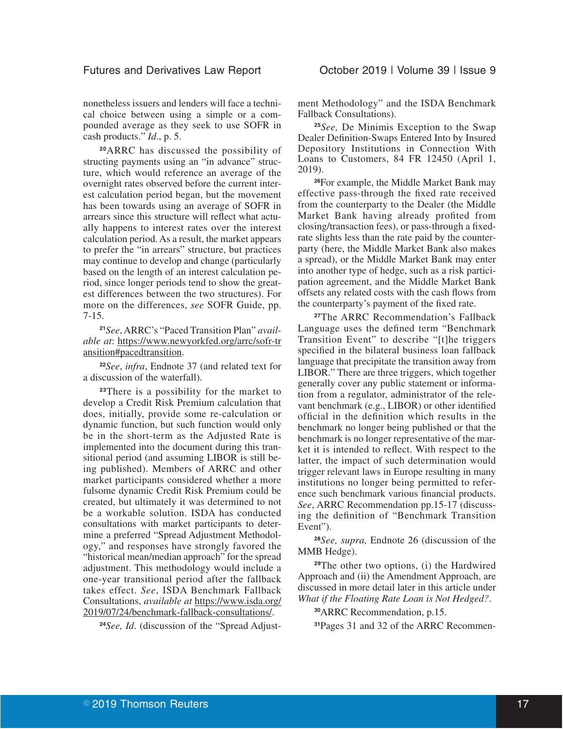### Futures and Derivatives Law Report **Conservatives** October 2019 | Volume 39 | Issue 9

nonetheless issuers and lenders will face a technical choice between using a simple or a compounded average as they seek to use SOFR in cash products." *Id*., p. 5.

**<sup>20</sup>**ARRC has discussed the possibility of structing payments using an "in advance" structure, which would reference an average of the overnight rates observed before the current interest calculation period began, but the movement has been towards using an average of SOFR in arrears since this structure will reflect what actually happens to interest rates over the interest calculation period. As a result, the market appears to prefer the "in arrears" structure, but practices may continue to develop and change (particularly based on the length of an interest calculation period, since longer periods tend to show the greatest differences between the two structures). For more on the differences, *see* SOFR Guide, pp. 7-15.

**<sup>21</sup>***See*, ARRC's "Paced Transition Plan" *available at*: https://www.newyorkfed.org/arrc/sofr-tr ansition#pacedtransition.

**<sup>22</sup>***See*, *infra*, Endnote 37 (and related text for a discussion of the waterfall).

**<sup>23</sup>**There is a possibility for the market to develop a Credit Risk Premium calculation that does, initially, provide some re-calculation or dynamic function, but such function would only be in the short-term as the Adjusted Rate is implemented into the document during this transitional period (and assuming LIBOR is still being published). Members of ARRC and other market participants considered whether a more fulsome dynamic Credit Risk Premium could be created, but ultimately it was determined to not be a workable solution. ISDA has conducted consultations with market participants to determine a preferred "Spread Adjustment Methodology," and responses have strongly favored the "historical mean/median approach" for the spread adjustment. This methodology would include a one-year transitional period after the fallback takes effect. *See*, ISDA Benchmark Fallback Consultations, *available at* https://www.isda.org/ 2019/07/24/benchmark-fallback-consultations/.

**24***See, Id*. (discussion of the "Spread Adjust-

ment Methodology" and the ISDA Benchmark Fallback Consultations).

**<sup>25</sup>***See,* De Minimis Exception to the Swap Dealer Definition-Swaps Entered Into by Insured Depository Institutions in Connection With Loans to Customers, 84 FR 12450 (April 1, 2019).

**<sup>26</sup>**For example, the Middle Market Bank may effective pass-through the fixed rate received from the counterparty to the Dealer (the Middle Market Bank having already profited from closing/transaction fees), or pass-through a fixedrate slights less than the rate paid by the counterparty (here, the Middle Market Bank also makes a spread), or the Middle Market Bank may enter into another type of hedge, such as a risk participation agreement, and the Middle Market Bank offsets any related costs with the cash flows from the counterparty's payment of the fixed rate.

**<sup>27</sup>**The ARRC Recommendation's Fallback Language uses the defined term "Benchmark Transition Event" to describe "[t]he triggers specified in the bilateral business loan fallback language that precipitate the transition away from LIBOR." There are three triggers, which together generally cover any public statement or information from a regulator, administrator of the relevant benchmark (e.g., LIBOR) or other identified official in the definition which results in the benchmark no longer being published or that the benchmark is no longer representative of the market it is intended to reflect. With respect to the latter, the impact of such determination would trigger relevant laws in Europe resulting in many institutions no longer being permitted to reference such benchmark various financial products. *See*, ARRC Recommendation pp.15-17 (discussing the definition of "Benchmark Transition Event").

**<sup>28</sup>***See, supra,* Endnote 26 (discussion of the MMB Hedge).

**<sup>29</sup>**The other two options, (i) the Hardwired Approach and (ii) the Amendment Approach, are discussed in more detail later in this article under *What if the Floating Rate Loan is Not Hedged?*.

**<sup>30</sup>**ARRC Recommendation, p.15.

**31**Pages 31 and 32 of the ARRC Recommen-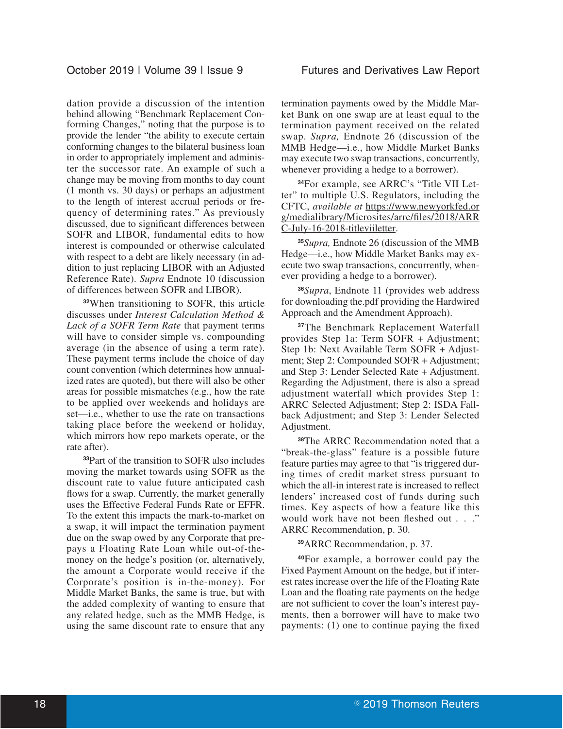dation provide a discussion of the intention behind allowing "Benchmark Replacement Conforming Changes," noting that the purpose is to provide the lender "the ability to execute certain conforming changes to the bilateral business loan in order to appropriately implement and administer the successor rate. An example of such a change may be moving from months to day count (1 month vs. 30 days) or perhaps an adjustment to the length of interest accrual periods or frequency of determining rates." As previously discussed, due to significant differences between SOFR and LIBOR, fundamental edits to how interest is compounded or otherwise calculated with respect to a debt are likely necessary (in addition to just replacing LIBOR with an Adjusted Reference Rate). *Supra* Endnote 10 (discussion of differences between SOFR and LIBOR).

**<sup>32</sup>**When transitioning to SOFR, this article discusses under *Interest Calculation Method & Lack of a SOFR Term Rate* that payment terms will have to consider simple vs. compounding average (in the absence of using a term rate). These payment terms include the choice of day count convention (which determines how annualized rates are quoted), but there will also be other areas for possible mismatches (e.g., how the rate to be applied over weekends and holidays are set—i.e., whether to use the rate on transactions taking place before the weekend or holiday, which mirrors how repo markets operate, or the rate after).

**<sup>33</sup>**Part of the transition to SOFR also includes moving the market towards using SOFR as the discount rate to value future anticipated cash flows for a swap. Currently, the market generally uses the Effective Federal Funds Rate or EFFR. To the extent this impacts the mark-to-market on a swap, it will impact the termination payment due on the swap owed by any Corporate that prepays a Floating Rate Loan while out-of-themoney on the hedge's position (or, alternatively, the amount a Corporate would receive if the Corporate's position is in-the-money). For Middle Market Banks, the same is true, but with the added complexity of wanting to ensure that any related hedge, such as the MMB Hedge, is using the same discount rate to ensure that any termination payments owed by the Middle Market Bank on one swap are at least equal to the termination payment received on the related swap. *Supra,* Endnote 26 (discussion of the MMB Hedge—i.e., how Middle Market Banks may execute two swap transactions, concurrently, whenever providing a hedge to a borrower).

**34**For example, see ARRC's "Title VII Letter" to multiple U.S. Regulators, including the CFTC, *available at* https://www.newyorkfed.or g/medialibrary/Microsites/arrc/files/2018/ARR C-July-16-2018-titleviiletter.

**<sup>35</sup>***Supra,* Endnote 26 (discussion of the MMB Hedge—i.e., how Middle Market Banks may execute two swap transactions, concurrently, whenever providing a hedge to a borrower).

**<sup>36</sup>***Supra*, Endnote 11 (provides web address for downloading the.pdf providing the Hardwired Approach and the Amendment Approach).

**<sup>37</sup>**The Benchmark Replacement Waterfall provides Step 1a: Term SOFR + Adjustment; Step 1b: Next Available Term SOFR + Adjustment; Step 2: Compounded SOFR + Adjustment; and Step 3: Lender Selected Rate + Adjustment. Regarding the Adjustment, there is also a spread adjustment waterfall which provides Step 1: ARRC Selected Adjustment; Step 2: ISDA Fallback Adjustment; and Step 3: Lender Selected Adjustment.

**<sup>38</sup>**The ARRC Recommendation noted that a "break-the-glass" feature is a possible future feature parties may agree to that "is triggered during times of credit market stress pursuant to which the all-in interest rate is increased to reflect lenders' increased cost of funds during such times. Key aspects of how a feature like this would work have not been fleshed out . . ." ARRC Recommendation, p. 30.

**<sup>39</sup>**ARRC Recommendation, p. 37.

**<sup>40</sup>**For example, a borrower could pay the Fixed Payment Amount on the hedge, but if interest rates increase over the life of the Floating Rate Loan and the floating rate payments on the hedge are not sufficient to cover the loan's interest payments, then a borrower will have to make two payments: (1) one to continue paying the fixed